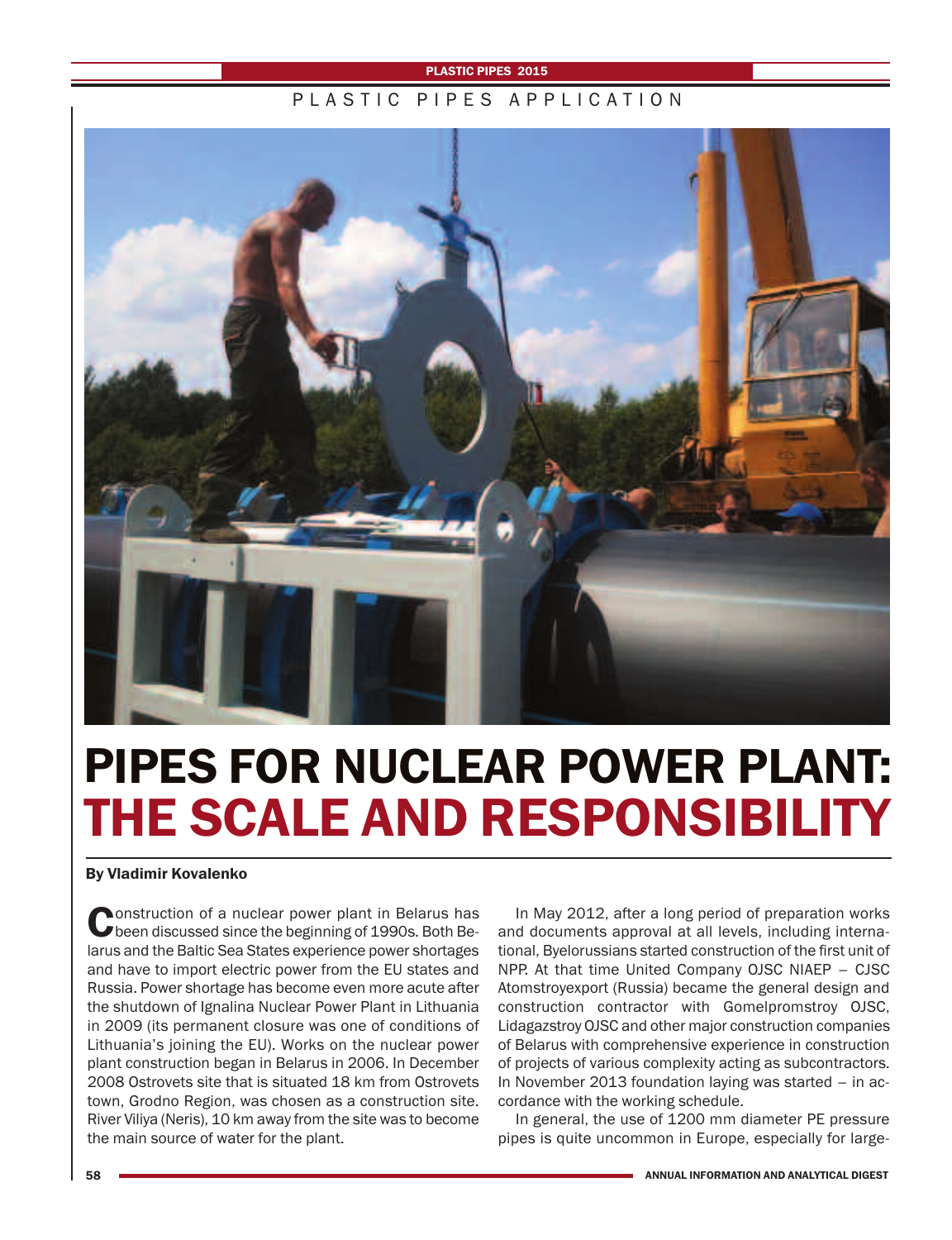#### **PLASTIC PIPES 2015**

### PIASTIC PIPES APPIICATION



# **PIPES FOR NUCLEAR POWER PLANT: THE SCALE AND RESPONSIBILITY**

#### **By Vladimir Kovalenko**

**Construction of a nuclear power plant in Belarus has**<br>been discussed since the beginning of 1990s. Both Belarus and the Baltic Sea States experience power shortages and have to import electric power from the EU states and Russia. Power shortage has become even more acute after the shutdown of Ignalina Nuclear Power Plant in Lithuania in 2009 (its permanent closure was one of conditions of Lithuania's joining the EU). Works on the nuclear power plant construction began in Belarus in 2006. In December 2008 Ostrovets site that is situated 18 km from Ostrovets town, Grodno Region, was chosen as a construction site. River Viliya (Neris), 10 km away from the site was to become the main source of water for the plant.

In May 2012, after a long period of preparation works and documents approval at all levels, including international, Byelorussians started construction of the first unit of NPP. At that time United Company OJSC NIAEP – CJSC Atomstroyexport (Russia) became the general design and construction contractor with Gomelpromstroy OJSC, Lidagazstroy OJSC and other major construction companies of Belarus with comprehensive experience in construction of projects of various complexity acting as subcontractors. In November 2013 foundation laying was started – in accordance with the working schedule.

In general, the use of 1200 mm diameter PE pressure pipes is quite uncommon in Europe, especially for large-